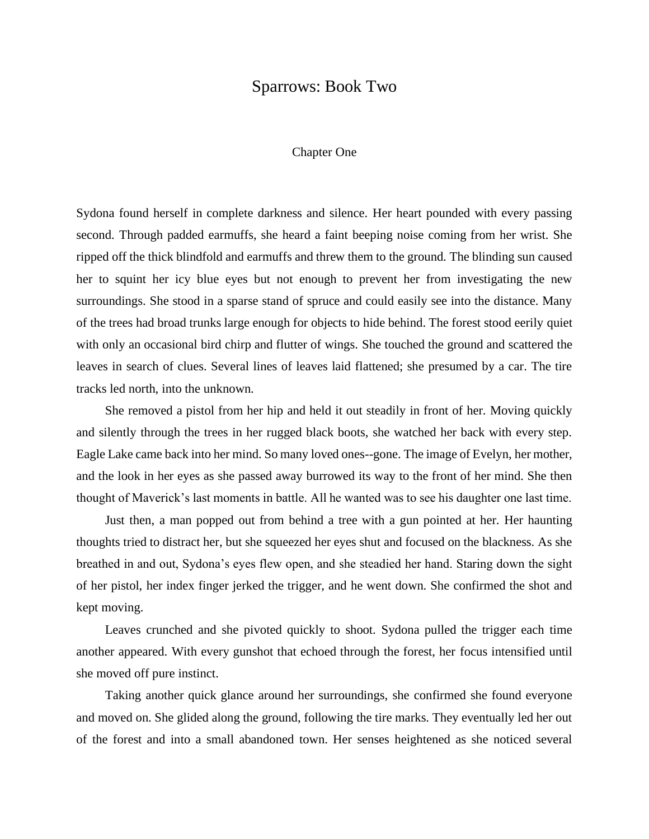## Sparrows: Book Two

## Chapter One

Sydona found herself in complete darkness and silence. Her heart pounded with every passing second. Through padded earmuffs, she heard a faint beeping noise coming from her wrist. She ripped off the thick blindfold and earmuffs and threw them to the ground. The blinding sun caused her to squint her icy blue eyes but not enough to prevent her from investigating the new surroundings. She stood in a sparse stand of spruce and could easily see into the distance. Many of the trees had broad trunks large enough for objects to hide behind. The forest stood eerily quiet with only an occasional bird chirp and flutter of wings. She touched the ground and scattered the leaves in search of clues. Several lines of leaves laid flattened; she presumed by a car. The tire tracks led north, into the unknown.

She removed a pistol from her hip and held it out steadily in front of her. Moving quickly and silently through the trees in her rugged black boots, she watched her back with every step. Eagle Lake came back into her mind. So many loved ones--gone. The image of Evelyn, her mother, and the look in her eyes as she passed away burrowed its way to the front of her mind. She then thought of Maverick's last moments in battle. All he wanted was to see his daughter one last time.

Just then, a man popped out from behind a tree with a gun pointed at her. Her haunting thoughts tried to distract her, but she squeezed her eyes shut and focused on the blackness. As she breathed in and out, Sydona's eyes flew open, and she steadied her hand. Staring down the sight of her pistol, her index finger jerked the trigger, and he went down. She confirmed the shot and kept moving.

Leaves crunched and she pivoted quickly to shoot. Sydona pulled the trigger each time another appeared. With every gunshot that echoed through the forest, her focus intensified until she moved off pure instinct.

Taking another quick glance around her surroundings, she confirmed she found everyone and moved on. She glided along the ground, following the tire marks. They eventually led her out of the forest and into a small abandoned town. Her senses heightened as she noticed several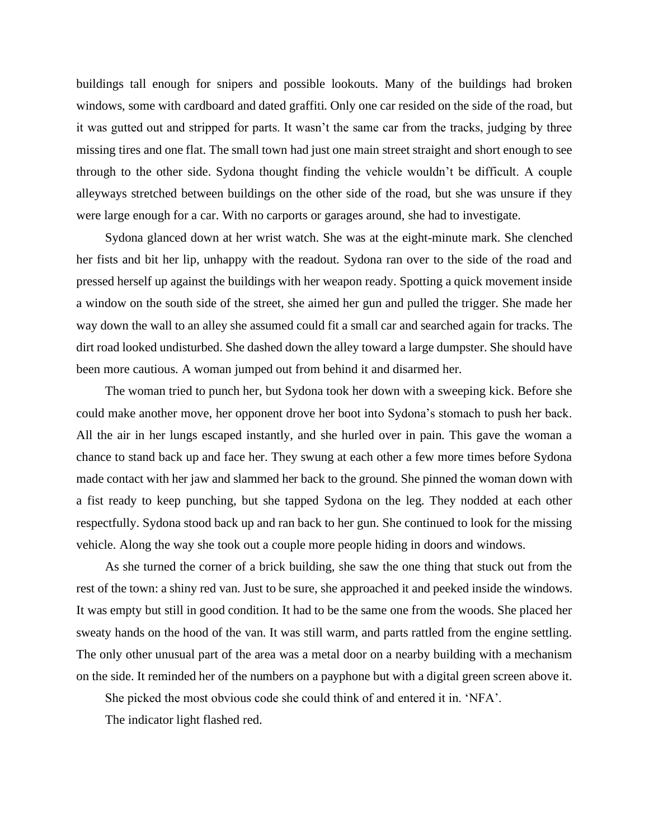buildings tall enough for snipers and possible lookouts. Many of the buildings had broken windows, some with cardboard and dated graffiti. Only one car resided on the side of the road, but it was gutted out and stripped for parts. It wasn't the same car from the tracks, judging by three missing tires and one flat. The small town had just one main street straight and short enough to see through to the other side. Sydona thought finding the vehicle wouldn't be difficult. A couple alleyways stretched between buildings on the other side of the road, but she was unsure if they were large enough for a car. With no carports or garages around, she had to investigate.

Sydona glanced down at her wrist watch. She was at the eight-minute mark. She clenched her fists and bit her lip, unhappy with the readout. Sydona ran over to the side of the road and pressed herself up against the buildings with her weapon ready. Spotting a quick movement inside a window on the south side of the street, she aimed her gun and pulled the trigger. She made her way down the wall to an alley she assumed could fit a small car and searched again for tracks. The dirt road looked undisturbed. She dashed down the alley toward a large dumpster. She should have been more cautious. A woman jumped out from behind it and disarmed her.

The woman tried to punch her, but Sydona took her down with a sweeping kick. Before she could make another move, her opponent drove her boot into Sydona's stomach to push her back. All the air in her lungs escaped instantly, and she hurled over in pain. This gave the woman a chance to stand back up and face her. They swung at each other a few more times before Sydona made contact with her jaw and slammed her back to the ground. She pinned the woman down with a fist ready to keep punching, but she tapped Sydona on the leg. They nodded at each other respectfully. Sydona stood back up and ran back to her gun. She continued to look for the missing vehicle. Along the way she took out a couple more people hiding in doors and windows.

As she turned the corner of a brick building, she saw the one thing that stuck out from the rest of the town: a shiny red van. Just to be sure, she approached it and peeked inside the windows. It was empty but still in good condition. It had to be the same one from the woods. She placed her sweaty hands on the hood of the van. It was still warm, and parts rattled from the engine settling. The only other unusual part of the area was a metal door on a nearby building with a mechanism on the side. It reminded her of the numbers on a payphone but with a digital green screen above it.

She picked the most obvious code she could think of and entered it in. 'NFA'.

The indicator light flashed red.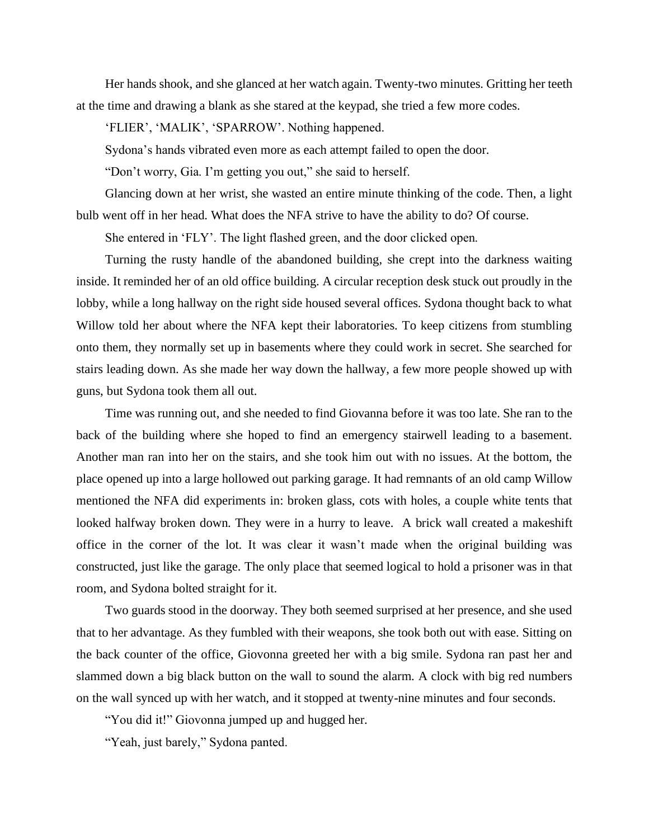Her hands shook, and she glanced at her watch again. Twenty-two minutes. Gritting her teeth at the time and drawing a blank as she stared at the keypad, she tried a few more codes.

'FLIER', 'MALIK', 'SPARROW'. Nothing happened.

Sydona's hands vibrated even more as each attempt failed to open the door.

"Don't worry, Gia. I'm getting you out," she said to herself.

Glancing down at her wrist, she wasted an entire minute thinking of the code. Then, a light bulb went off in her head. What does the NFA strive to have the ability to do? Of course.

She entered in 'FLY'. The light flashed green, and the door clicked open.

Turning the rusty handle of the abandoned building, she crept into the darkness waiting inside. It reminded her of an old office building. A circular reception desk stuck out proudly in the lobby, while a long hallway on the right side housed several offices. Sydona thought back to what Willow told her about where the NFA kept their laboratories. To keep citizens from stumbling onto them, they normally set up in basements where they could work in secret. She searched for stairs leading down. As she made her way down the hallway, a few more people showed up with guns, but Sydona took them all out.

Time was running out, and she needed to find Giovanna before it was too late. She ran to the back of the building where she hoped to find an emergency stairwell leading to a basement. Another man ran into her on the stairs, and she took him out with no issues. At the bottom, the place opened up into a large hollowed out parking garage. It had remnants of an old camp Willow mentioned the NFA did experiments in: broken glass, cots with holes, a couple white tents that looked halfway broken down. They were in a hurry to leave. A brick wall created a makeshift office in the corner of the lot. It was clear it wasn't made when the original building was constructed, just like the garage. The only place that seemed logical to hold a prisoner was in that room, and Sydona bolted straight for it.

Two guards stood in the doorway. They both seemed surprised at her presence, and she used that to her advantage. As they fumbled with their weapons, she took both out with ease. Sitting on the back counter of the office, Giovonna greeted her with a big smile. Sydona ran past her and slammed down a big black button on the wall to sound the alarm. A clock with big red numbers on the wall synced up with her watch, and it stopped at twenty-nine minutes and four seconds.

"You did it!" Giovonna jumped up and hugged her.

"Yeah, just barely," Sydona panted.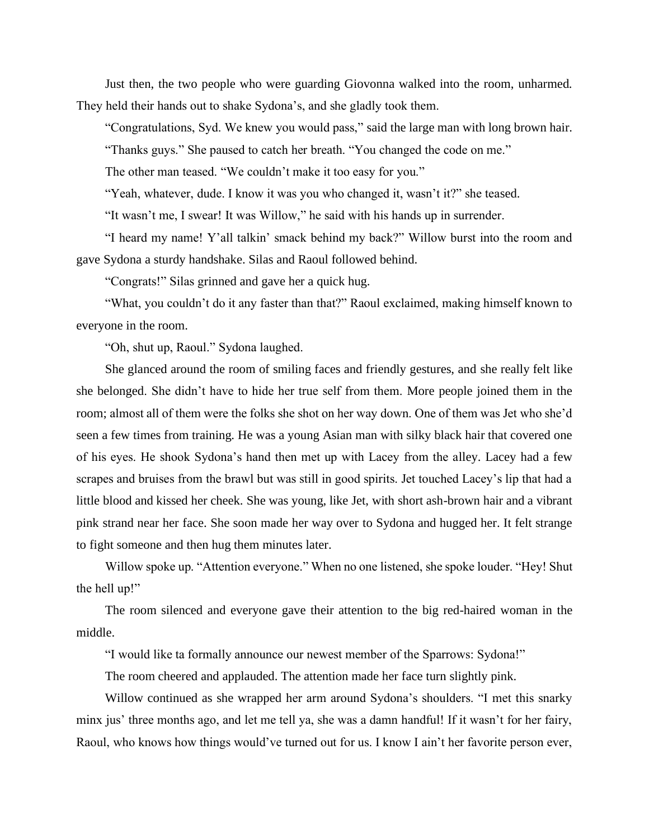Just then, the two people who were guarding Giovonna walked into the room, unharmed. They held their hands out to shake Sydona's, and she gladly took them.

"Congratulations, Syd. We knew you would pass," said the large man with long brown hair.

"Thanks guys." She paused to catch her breath. "You changed the code on me."

The other man teased. "We couldn't make it too easy for you."

"Yeah, whatever, dude. I know it was you who changed it, wasn't it?" she teased.

"It wasn't me, I swear! It was Willow," he said with his hands up in surrender.

"I heard my name! Y'all talkin' smack behind my back?" Willow burst into the room and gave Sydona a sturdy handshake. Silas and Raoul followed behind.

"Congrats!" Silas grinned and gave her a quick hug.

"What, you couldn't do it any faster than that?" Raoul exclaimed, making himself known to everyone in the room.

"Oh, shut up, Raoul." Sydona laughed.

She glanced around the room of smiling faces and friendly gestures, and she really felt like she belonged. She didn't have to hide her true self from them. More people joined them in the room; almost all of them were the folks she shot on her way down. One of them was Jet who she'd seen a few times from training. He was a young Asian man with silky black hair that covered one of his eyes. He shook Sydona's hand then met up with Lacey from the alley. Lacey had a few scrapes and bruises from the brawl but was still in good spirits. Jet touched Lacey's lip that had a little blood and kissed her cheek. She was young, like Jet, with short ash-brown hair and a vibrant pink strand near her face. She soon made her way over to Sydona and hugged her. It felt strange to fight someone and then hug them minutes later.

Willow spoke up. "Attention everyone." When no one listened, she spoke louder. "Hey! Shut the hell up!"

The room silenced and everyone gave their attention to the big red-haired woman in the middle.

"I would like ta formally announce our newest member of the Sparrows: Sydona!"

The room cheered and applauded. The attention made her face turn slightly pink.

Willow continued as she wrapped her arm around Sydona's shoulders. "I met this snarky minx jus' three months ago, and let me tell ya, she was a damn handful! If it wasn't for her fairy, Raoul, who knows how things would've turned out for us. I know I ain't her favorite person ever,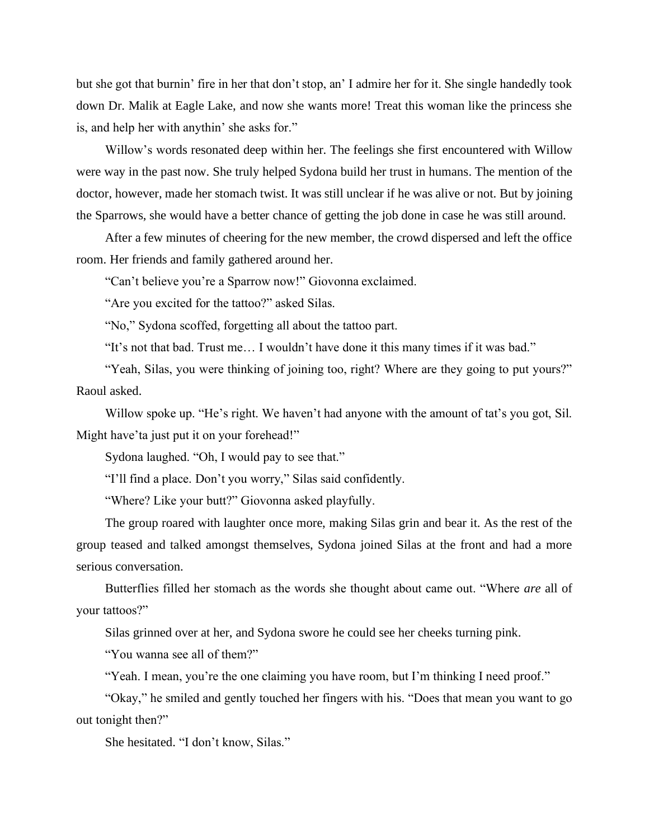but she got that burnin' fire in her that don't stop, an' I admire her for it. She single handedly took down Dr. Malik at Eagle Lake, and now she wants more! Treat this woman like the princess she is, and help her with anythin' she asks for."

Willow's words resonated deep within her. The feelings she first encountered with Willow were way in the past now. She truly helped Sydona build her trust in humans. The mention of the doctor, however, made her stomach twist. It was still unclear if he was alive or not. But by joining the Sparrows, she would have a better chance of getting the job done in case he was still around.

After a few minutes of cheering for the new member, the crowd dispersed and left the office room. Her friends and family gathered around her.

"Can't believe you're a Sparrow now!" Giovonna exclaimed.

"Are you excited for the tattoo?" asked Silas.

"No," Sydona scoffed, forgetting all about the tattoo part.

"It's not that bad. Trust me… I wouldn't have done it this many times if it was bad."

"Yeah, Silas, you were thinking of joining too, right? Where are they going to put yours?" Raoul asked.

Willow spoke up. "He's right. We haven't had anyone with the amount of tat's you got, Sil. Might have'ta just put it on your forehead!"

Sydona laughed. "Oh, I would pay to see that."

"I'll find a place. Don't you worry," Silas said confidently.

"Where? Like your butt?" Giovonna asked playfully.

The group roared with laughter once more, making Silas grin and bear it. As the rest of the group teased and talked amongst themselves, Sydona joined Silas at the front and had a more serious conversation.

Butterflies filled her stomach as the words she thought about came out. "Where *are* all of your tattoos?"

Silas grinned over at her, and Sydona swore he could see her cheeks turning pink.

"You wanna see all of them?"

"Yeah. I mean, you're the one claiming you have room, but I'm thinking I need proof."

"Okay," he smiled and gently touched her fingers with his. "Does that mean you want to go out tonight then?"

She hesitated. "I don't know, Silas."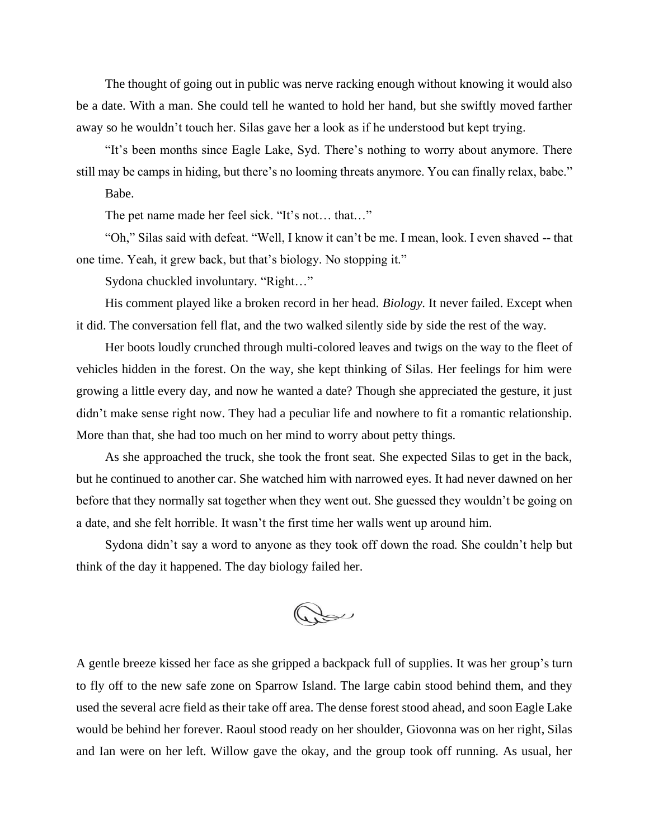The thought of going out in public was nerve racking enough without knowing it would also be a date. With a man. She could tell he wanted to hold her hand, but she swiftly moved farther away so he wouldn't touch her. Silas gave her a look as if he understood but kept trying.

"It's been months since Eagle Lake, Syd. There's nothing to worry about anymore. There still may be camps in hiding, but there's no looming threats anymore. You can finally relax, babe."

Babe.

The pet name made her feel sick. "It's not… that…"

"Oh," Silas said with defeat. "Well, I know it can't be me. I mean, look. I even shaved -- that one time. Yeah, it grew back, but that's biology. No stopping it."

Sydona chuckled involuntary. "Right…"

His comment played like a broken record in her head. *Biology*. It never failed. Except when it did. The conversation fell flat, and the two walked silently side by side the rest of the way.

Her boots loudly crunched through multi-colored leaves and twigs on the way to the fleet of vehicles hidden in the forest. On the way, she kept thinking of Silas. Her feelings for him were growing a little every day, and now he wanted a date? Though she appreciated the gesture, it just didn't make sense right now. They had a peculiar life and nowhere to fit a romantic relationship. More than that, she had too much on her mind to worry about petty things.

As she approached the truck, she took the front seat. She expected Silas to get in the back, but he continued to another car. She watched him with narrowed eyes. It had never dawned on her before that they normally sat together when they went out. She guessed they wouldn't be going on a date, and she felt horrible. It wasn't the first time her walls went up around him.

Sydona didn't say a word to anyone as they took off down the road. She couldn't help but think of the day it happened. The day biology failed her.

Dou

A gentle breeze kissed her face as she gripped a backpack full of supplies. It was her group's turn to fly off to the new safe zone on Sparrow Island. The large cabin stood behind them, and they used the several acre field as their take off area. The dense forest stood ahead, and soon Eagle Lake would be behind her forever. Raoul stood ready on her shoulder, Giovonna was on her right, Silas and Ian were on her left. Willow gave the okay, and the group took off running. As usual, her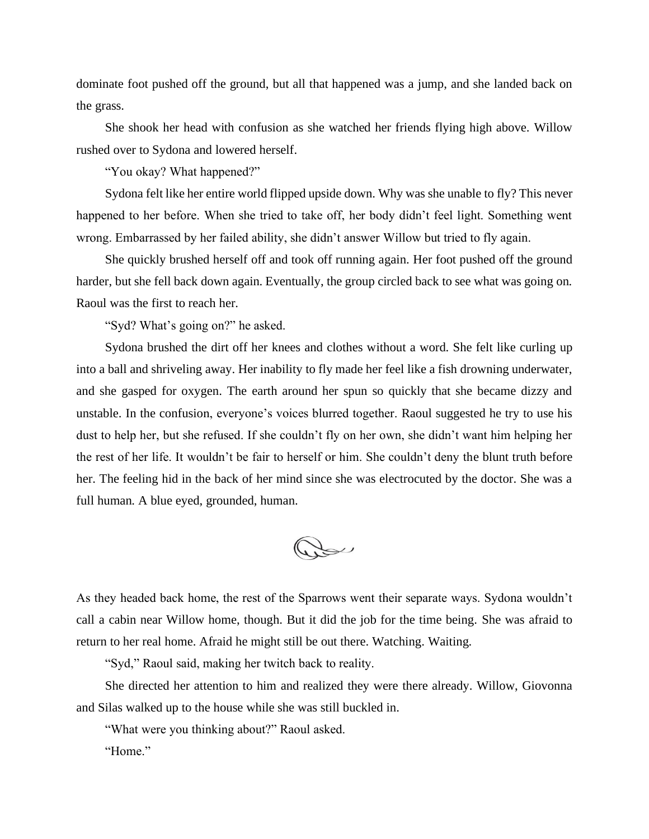dominate foot pushed off the ground, but all that happened was a jump, and she landed back on the grass.

She shook her head with confusion as she watched her friends flying high above. Willow rushed over to Sydona and lowered herself.

"You okay? What happened?"

Sydona felt like her entire world flipped upside down. Why was she unable to fly? This never happened to her before. When she tried to take off, her body didn't feel light. Something went wrong. Embarrassed by her failed ability, she didn't answer Willow but tried to fly again.

She quickly brushed herself off and took off running again. Her foot pushed off the ground harder, but she fell back down again. Eventually, the group circled back to see what was going on. Raoul was the first to reach her.

"Syd? What's going on?" he asked.

Sydona brushed the dirt off her knees and clothes without a word. She felt like curling up into a ball and shriveling away. Her inability to fly made her feel like a fish drowning underwater, and she gasped for oxygen. The earth around her spun so quickly that she became dizzy and unstable. In the confusion, everyone's voices blurred together. Raoul suggested he try to use his dust to help her, but she refused. If she couldn't fly on her own, she didn't want him helping her the rest of her life. It wouldn't be fair to herself or him. She couldn't deny the blunt truth before her. The feeling hid in the back of her mind since she was electrocuted by the doctor. She was a full human. A blue eyed, grounded, human.

Dou

As they headed back home, the rest of the Sparrows went their separate ways. Sydona wouldn't call a cabin near Willow home, though. But it did the job for the time being. She was afraid to return to her real home. Afraid he might still be out there. Watching. Waiting.

"Syd," Raoul said, making her twitch back to reality.

She directed her attention to him and realized they were there already. Willow, Giovonna and Silas walked up to the house while she was still buckled in.

"What were you thinking about?" Raoul asked.

"Home."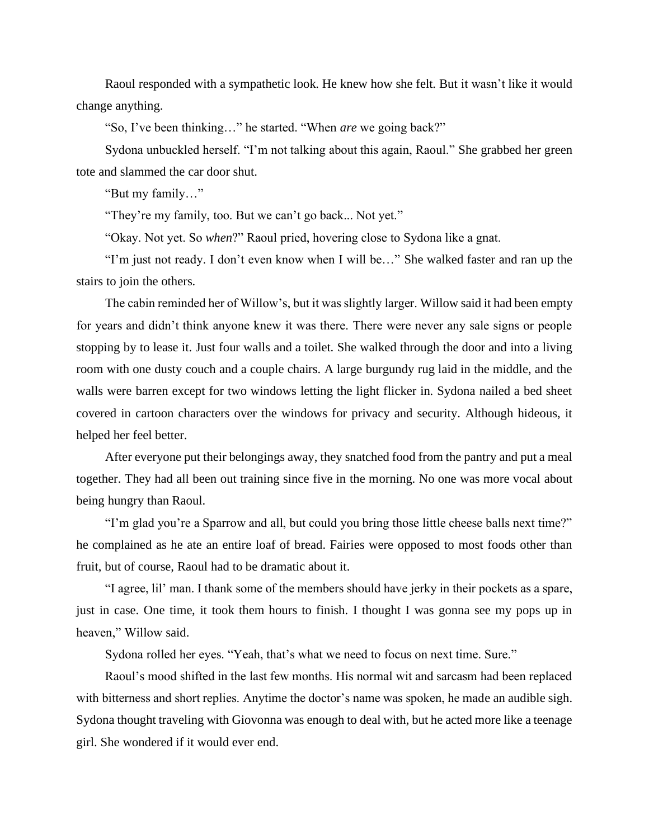Raoul responded with a sympathetic look. He knew how she felt. But it wasn't like it would change anything.

"So, I've been thinking…" he started. "When *are* we going back?"

Sydona unbuckled herself. "I'm not talking about this again, Raoul." She grabbed her green tote and slammed the car door shut.

"But my family…"

"They're my family, too. But we can't go back... Not yet."

"Okay. Not yet. So *when*?" Raoul pried, hovering close to Sydona like a gnat.

"I'm just not ready. I don't even know when I will be…" She walked faster and ran up the stairs to join the others.

The cabin reminded her of Willow's, but it was slightly larger. Willow said it had been empty for years and didn't think anyone knew it was there. There were never any sale signs or people stopping by to lease it. Just four walls and a toilet. She walked through the door and into a living room with one dusty couch and a couple chairs. A large burgundy rug laid in the middle, and the walls were barren except for two windows letting the light flicker in. Sydona nailed a bed sheet covered in cartoon characters over the windows for privacy and security. Although hideous, it helped her feel better.

After everyone put their belongings away, they snatched food from the pantry and put a meal together. They had all been out training since five in the morning. No one was more vocal about being hungry than Raoul.

"I'm glad you're a Sparrow and all, but could you bring those little cheese balls next time?" he complained as he ate an entire loaf of bread. Fairies were opposed to most foods other than fruit, but of course, Raoul had to be dramatic about it.

"I agree, lil' man. I thank some of the members should have jerky in their pockets as a spare, just in case. One time, it took them hours to finish. I thought I was gonna see my pops up in heaven," Willow said.

Sydona rolled her eyes. "Yeah, that's what we need to focus on next time. Sure."

Raoul's mood shifted in the last few months. His normal wit and sarcasm had been replaced with bitterness and short replies. Anytime the doctor's name was spoken, he made an audible sigh. Sydona thought traveling with Giovonna was enough to deal with, but he acted more like a teenage girl. She wondered if it would ever end.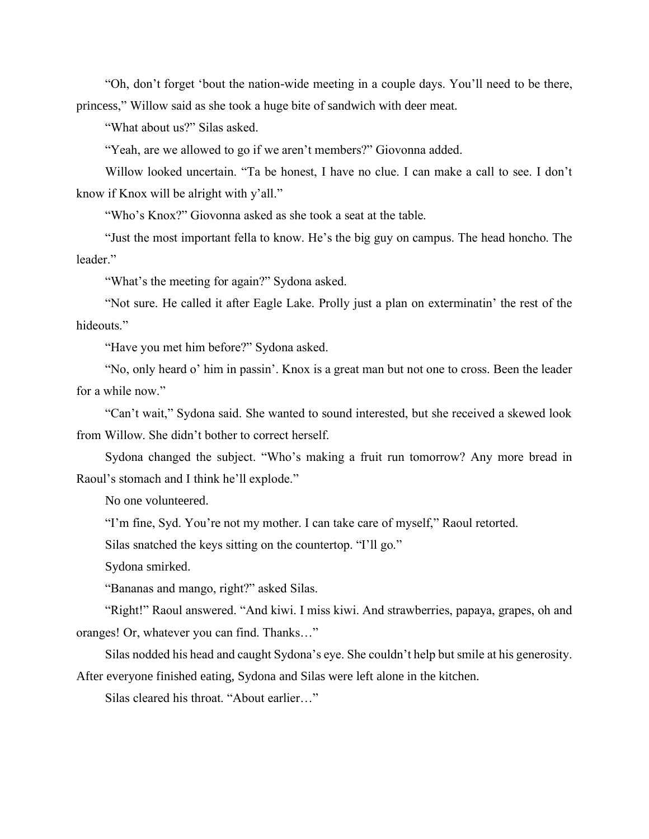"Oh, don't forget 'bout the nation-wide meeting in a couple days. You'll need to be there, princess," Willow said as she took a huge bite of sandwich with deer meat.

"What about us?" Silas asked.

"Yeah, are we allowed to go if we aren't members?" Giovonna added.

Willow looked uncertain. "Ta be honest, I have no clue. I can make a call to see. I don't know if Knox will be alright with y'all."

"Who's Knox?" Giovonna asked as she took a seat at the table.

"Just the most important fella to know. He's the big guy on campus. The head honcho. The leader."

"What's the meeting for again?" Sydona asked.

"Not sure. He called it after Eagle Lake. Prolly just a plan on exterminatin' the rest of the hideouts."

"Have you met him before?" Sydona asked.

"No, only heard o' him in passin'. Knox is a great man but not one to cross. Been the leader for a while now."

"Can't wait," Sydona said. She wanted to sound interested, but she received a skewed look from Willow. She didn't bother to correct herself.

Sydona changed the subject. "Who's making a fruit run tomorrow? Any more bread in Raoul's stomach and I think he'll explode."

No one volunteered.

"I'm fine, Syd. You're not my mother. I can take care of myself," Raoul retorted.

Silas snatched the keys sitting on the countertop. "I'll go."

Sydona smirked.

"Bananas and mango, right?" asked Silas.

"Right!" Raoul answered. "And kiwi. I miss kiwi. And strawberries, papaya, grapes, oh and oranges! Or, whatever you can find. Thanks…"

Silas nodded his head and caught Sydona's eye. She couldn't help but smile at his generosity. After everyone finished eating, Sydona and Silas were left alone in the kitchen.

Silas cleared his throat. "About earlier…"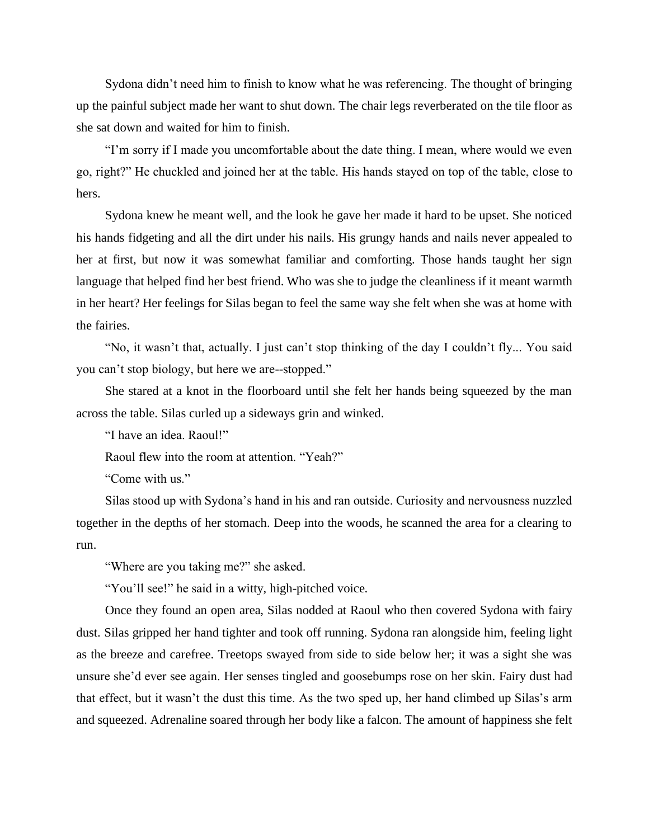Sydona didn't need him to finish to know what he was referencing. The thought of bringing up the painful subject made her want to shut down. The chair legs reverberated on the tile floor as she sat down and waited for him to finish.

"I'm sorry if I made you uncomfortable about the date thing. I mean, where would we even go, right?" He chuckled and joined her at the table. His hands stayed on top of the table, close to hers.

Sydona knew he meant well, and the look he gave her made it hard to be upset. She noticed his hands fidgeting and all the dirt under his nails. His grungy hands and nails never appealed to her at first, but now it was somewhat familiar and comforting. Those hands taught her sign language that helped find her best friend. Who was she to judge the cleanliness if it meant warmth in her heart? Her feelings for Silas began to feel the same way she felt when she was at home with the fairies.

"No, it wasn't that, actually. I just can't stop thinking of the day I couldn't fly... You said you can't stop biology, but here we are--stopped."

She stared at a knot in the floorboard until she felt her hands being squeezed by the man across the table. Silas curled up a sideways grin and winked.

"I have an idea. Raoul!"

Raoul flew into the room at attention. "Yeah?"

"Come with us."

Silas stood up with Sydona's hand in his and ran outside. Curiosity and nervousness nuzzled together in the depths of her stomach. Deep into the woods, he scanned the area for a clearing to run.

"Where are you taking me?" she asked.

"You'll see!" he said in a witty, high-pitched voice.

Once they found an open area, Silas nodded at Raoul who then covered Sydona with fairy dust. Silas gripped her hand tighter and took off running. Sydona ran alongside him, feeling light as the breeze and carefree. Treetops swayed from side to side below her; it was a sight she was unsure she'd ever see again. Her senses tingled and goosebumps rose on her skin. Fairy dust had that effect, but it wasn't the dust this time. As the two sped up, her hand climbed up Silas's arm and squeezed. Adrenaline soared through her body like a falcon. The amount of happiness she felt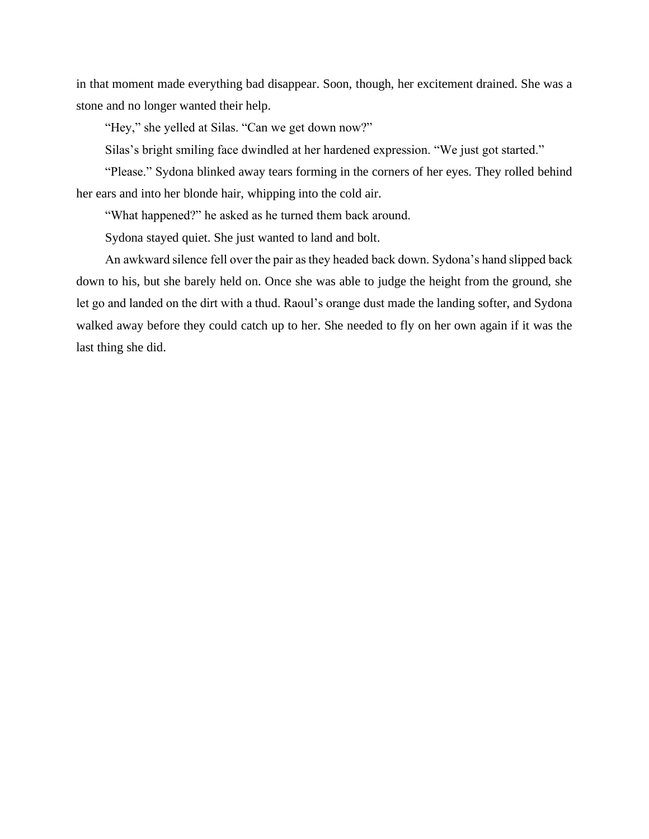in that moment made everything bad disappear. Soon, though, her excitement drained. She was a stone and no longer wanted their help.

"Hey," she yelled at Silas. "Can we get down now?"

Silas's bright smiling face dwindled at her hardened expression. "We just got started."

"Please." Sydona blinked away tears forming in the corners of her eyes. They rolled behind her ears and into her blonde hair, whipping into the cold air.

"What happened?" he asked as he turned them back around.

Sydona stayed quiet. She just wanted to land and bolt.

An awkward silence fell over the pair as they headed back down. Sydona's hand slipped back down to his, but she barely held on. Once she was able to judge the height from the ground, she let go and landed on the dirt with a thud. Raoul's orange dust made the landing softer, and Sydona walked away before they could catch up to her. She needed to fly on her own again if it was the last thing she did.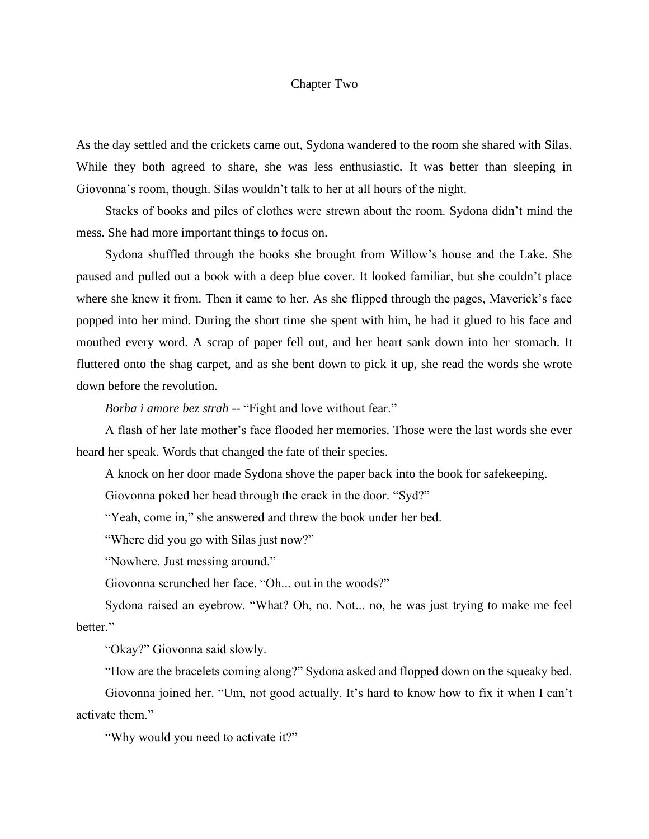## Chapter Two

As the day settled and the crickets came out, Sydona wandered to the room she shared with Silas. While they both agreed to share, she was less enthusiastic. It was better than sleeping in Giovonna's room, though. Silas wouldn't talk to her at all hours of the night.

Stacks of books and piles of clothes were strewn about the room. Sydona didn't mind the mess. She had more important things to focus on.

Sydona shuffled through the books she brought from Willow's house and the Lake. She paused and pulled out a book with a deep blue cover. It looked familiar, but she couldn't place where she knew it from. Then it came to her. As she flipped through the pages, Maverick's face popped into her mind. During the short time she spent with him, he had it glued to his face and mouthed every word. A scrap of paper fell out, and her heart sank down into her stomach. It fluttered onto the shag carpet, and as she bent down to pick it up, she read the words she wrote down before the revolution.

*Borba i amore bez strah* -- "Fight and love without fear."

A flash of her late mother's face flooded her memories. Those were the last words she ever heard her speak. Words that changed the fate of their species.

A knock on her door made Sydona shove the paper back into the book for safekeeping.

Giovonna poked her head through the crack in the door. "Syd?"

"Yeah, come in," she answered and threw the book under her bed.

"Where did you go with Silas just now?"

"Nowhere. Just messing around."

Giovonna scrunched her face. "Oh... out in the woods?"

Sydona raised an eyebrow. "What? Oh, no. Not... no, he was just trying to make me feel better."

"Okay?" Giovonna said slowly.

"How are the bracelets coming along?" Sydona asked and flopped down on the squeaky bed.

Giovonna joined her. "Um, not good actually. It's hard to know how to fix it when I can't activate them."

"Why would you need to activate it?"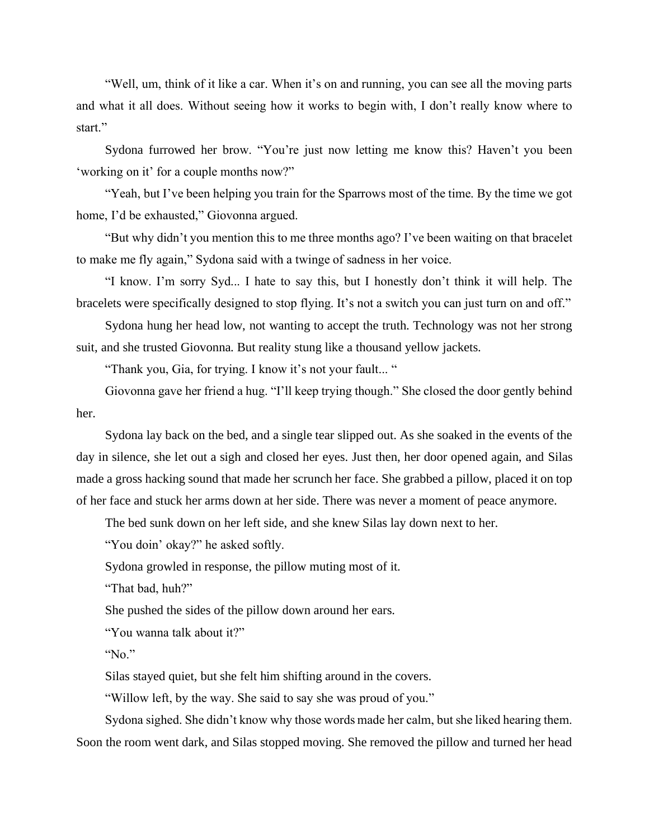"Well, um, think of it like a car. When it's on and running, you can see all the moving parts and what it all does. Without seeing how it works to begin with, I don't really know where to start."

Sydona furrowed her brow. "You're just now letting me know this? Haven't you been 'working on it' for a couple months now?"

"Yeah, but I've been helping you train for the Sparrows most of the time. By the time we got home, I'd be exhausted," Giovonna argued.

"But why didn't you mention this to me three months ago? I've been waiting on that bracelet to make me fly again," Sydona said with a twinge of sadness in her voice.

"I know. I'm sorry Syd... I hate to say this, but I honestly don't think it will help. The bracelets were specifically designed to stop flying. It's not a switch you can just turn on and off."

Sydona hung her head low, not wanting to accept the truth. Technology was not her strong suit, and she trusted Giovonna. But reality stung like a thousand yellow jackets.

"Thank you, Gia, for trying. I know it's not your fault... "

Giovonna gave her friend a hug. "I'll keep trying though." She closed the door gently behind her.

Sydona lay back on the bed, and a single tear slipped out. As she soaked in the events of the day in silence, she let out a sigh and closed her eyes. Just then, her door opened again, and Silas made a gross hacking sound that made her scrunch her face. She grabbed a pillow, placed it on top of her face and stuck her arms down at her side. There was never a moment of peace anymore.

The bed sunk down on her left side, and she knew Silas lay down next to her.

"You doin' okay?" he asked softly.

Sydona growled in response, the pillow muting most of it.

"That bad, huh?"

She pushed the sides of the pillow down around her ears.

"You wanna talk about it?"

"No."

Silas stayed quiet, but she felt him shifting around in the covers.

"Willow left, by the way. She said to say she was proud of you."

Sydona sighed. She didn't know why those words made her calm, but she liked hearing them. Soon the room went dark, and Silas stopped moving. She removed the pillow and turned her head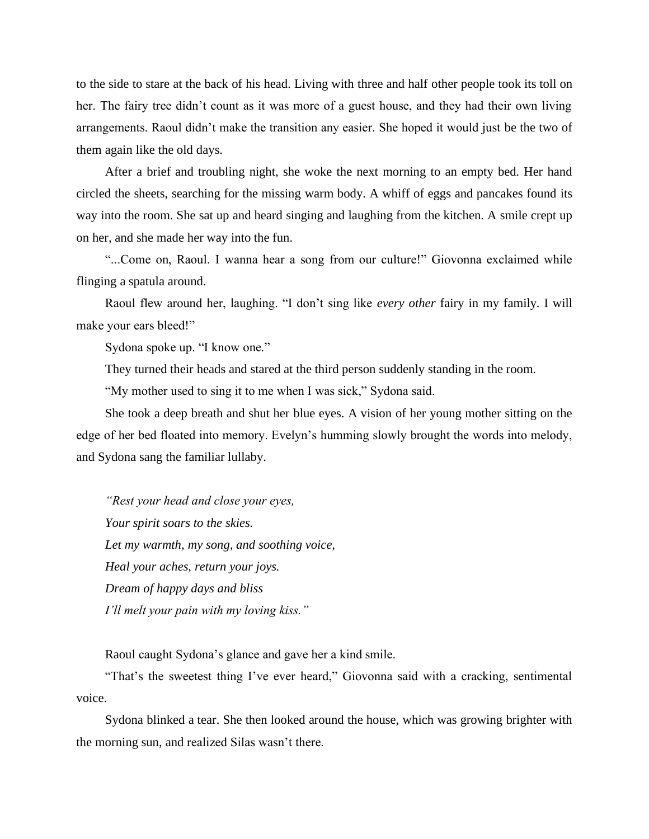to the side to stare at the back of his head. Living with three and half other people took its toll on her. The fairy tree didn't count as it was more of a guest house, and they had their own living arrangements. Raoul didn't make the transition any easier. She hoped it would just be the two of them again like the old days.

After a brief and troubling night, she woke the next morning to an empty bed. Her hand circled the sheets, searching for the missing warm body. A whiff of eggs and pancakes found its way into the room. She sat up and heard singing and laughing from the kitchen. A smile crept up on her, and she made her way into the fun.

"...Come on, Raoul. I wanna hear a song from our culture!" Giovonna exclaimed while flinging a spatula around.

Raoul flew around her, laughing. "I don't sing like *every other* fairy in my family. I will make your ears bleed!"

Sydona spoke up. "I know one."

They turned their heads and stared at the third person suddenly standing in the room.

"My mother used to sing it to me when I was sick," Sydona said.

She took a deep breath and shut her blue eyes. A vision of her young mother sitting on the edge of her bed floated into memory. Evelyn's humming slowly brought the words into melody, and Sydona sang the familiar lullaby.

*"Rest your head and close your eyes, Your spirit soars to the skies. Let my warmth, my song, and soothing voice, Heal your aches, return your joys. Dream of happy days and bliss I'll melt your pain with my loving kiss."*

Raoul caught Sydona's glance and gave her a kind smile.

"That's the sweetest thing I've ever heard," Giovonna said with a cracking, sentimental voice.

Sydona blinked a tear. She then looked around the house, which was growing brighter with the morning sun, and realized Silas wasn't there.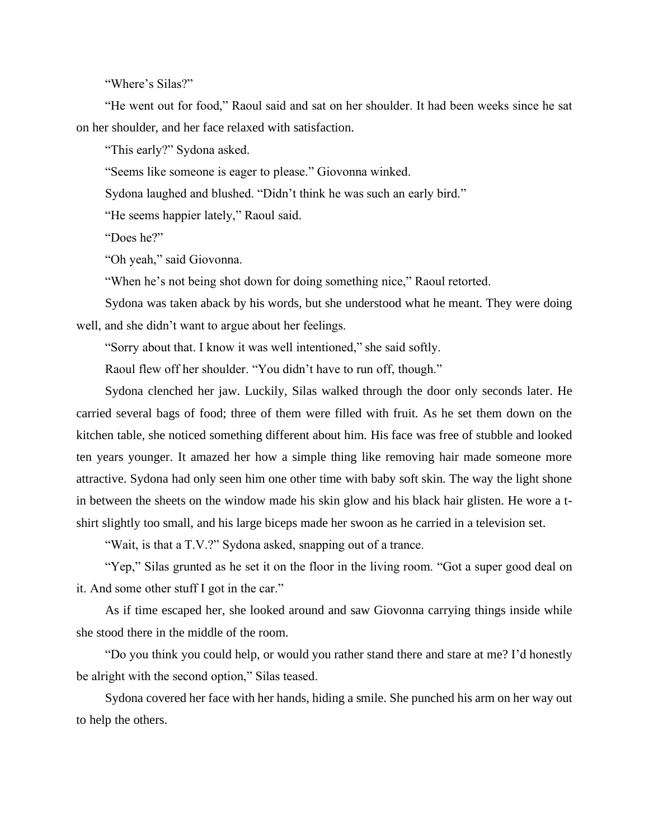"Where's Silas?"

"He went out for food," Raoul said and sat on her shoulder. It had been weeks since he sat on her shoulder, and her face relaxed with satisfaction.

"This early?" Sydona asked.

"Seems like someone is eager to please." Giovonna winked.

Sydona laughed and blushed. "Didn't think he was such an early bird."

"He seems happier lately," Raoul said.

"Does he?"

"Oh yeah," said Giovonna.

"When he's not being shot down for doing something nice," Raoul retorted.

Sydona was taken aback by his words, but she understood what he meant. They were doing well, and she didn't want to argue about her feelings.

"Sorry about that. I know it was well intentioned," she said softly.

Raoul flew off her shoulder. "You didn't have to run off, though."

Sydona clenched her jaw. Luckily, Silas walked through the door only seconds later. He carried several bags of food; three of them were filled with fruit. As he set them down on the kitchen table, she noticed something different about him. His face was free of stubble and looked ten years younger. It amazed her how a simple thing like removing hair made someone more attractive. Sydona had only seen him one other time with baby soft skin. The way the light shone in between the sheets on the window made his skin glow and his black hair glisten. He wore a tshirt slightly too small, and his large biceps made her swoon as he carried in a television set.

"Wait, is that a T.V.?" Sydona asked, snapping out of a trance.

"Yep," Silas grunted as he set it on the floor in the living room. "Got a super good deal on it. And some other stuff I got in the car."

As if time escaped her, she looked around and saw Giovonna carrying things inside while she stood there in the middle of the room.

"Do you think you could help, or would you rather stand there and stare at me? I'd honestly be alright with the second option," Silas teased.

Sydona covered her face with her hands, hiding a smile. She punched his arm on her way out to help the others.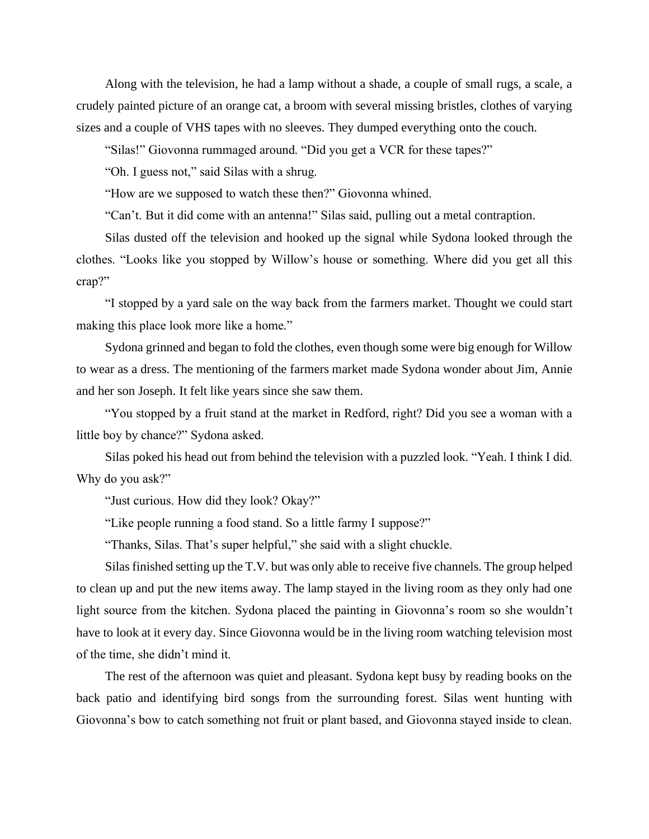Along with the television, he had a lamp without a shade, a couple of small rugs, a scale, a crudely painted picture of an orange cat, a broom with several missing bristles, clothes of varying sizes and a couple of VHS tapes with no sleeves. They dumped everything onto the couch.

"Silas!" Giovonna rummaged around. "Did you get a VCR for these tapes?"

"Oh. I guess not," said Silas with a shrug.

"How are we supposed to watch these then?" Giovonna whined.

"Can't. But it did come with an antenna!" Silas said, pulling out a metal contraption.

Silas dusted off the television and hooked up the signal while Sydona looked through the clothes. "Looks like you stopped by Willow's house or something. Where did you get all this crap?"

"I stopped by a yard sale on the way back from the farmers market. Thought we could start making this place look more like a home."

Sydona grinned and began to fold the clothes, even though some were big enough for Willow to wear as a dress. The mentioning of the farmers market made Sydona wonder about Jim, Annie and her son Joseph. It felt like years since she saw them.

"You stopped by a fruit stand at the market in Redford, right? Did you see a woman with a little boy by chance?" Sydona asked.

Silas poked his head out from behind the television with a puzzled look. "Yeah. I think I did. Why do you ask?"

"Just curious. How did they look? Okay?"

"Like people running a food stand. So a little farmy I suppose?"

"Thanks, Silas. That's super helpful," she said with a slight chuckle.

Silas finished setting up the T.V. but was only able to receive five channels. The group helped to clean up and put the new items away. The lamp stayed in the living room as they only had one light source from the kitchen. Sydona placed the painting in Giovonna's room so she wouldn't have to look at it every day. Since Giovonna would be in the living room watching television most of the time, she didn't mind it.

The rest of the afternoon was quiet and pleasant. Sydona kept busy by reading books on the back patio and identifying bird songs from the surrounding forest. Silas went hunting with Giovonna's bow to catch something not fruit or plant based, and Giovonna stayed inside to clean.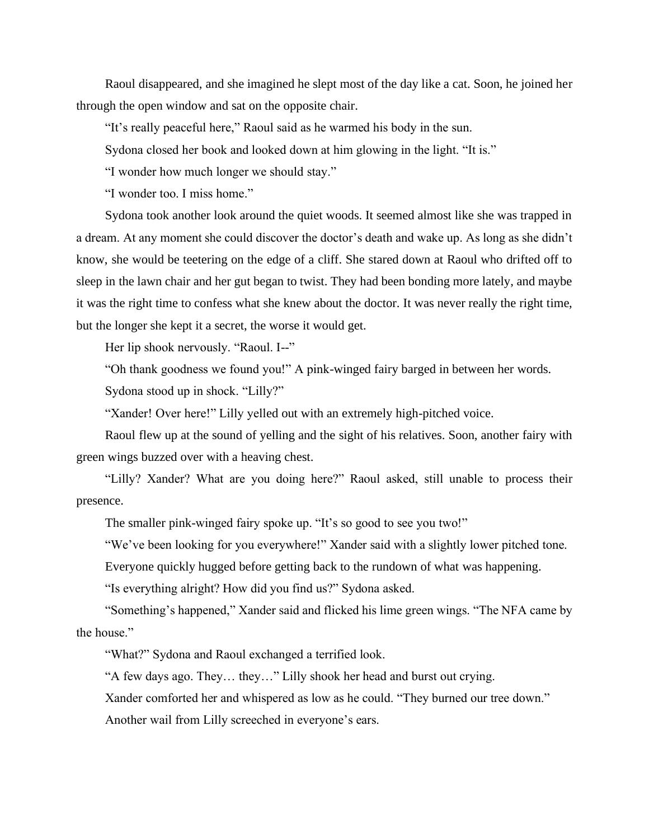Raoul disappeared, and she imagined he slept most of the day like a cat. Soon, he joined her through the open window and sat on the opposite chair.

"It's really peaceful here," Raoul said as he warmed his body in the sun.

Sydona closed her book and looked down at him glowing in the light. "It is."

"I wonder how much longer we should stay."

"I wonder too. I miss home."

Sydona took another look around the quiet woods. It seemed almost like she was trapped in a dream. At any moment she could discover the doctor's death and wake up. As long as she didn't know, she would be teetering on the edge of a cliff. She stared down at Raoul who drifted off to sleep in the lawn chair and her gut began to twist. They had been bonding more lately, and maybe it was the right time to confess what she knew about the doctor. It was never really the right time, but the longer she kept it a secret, the worse it would get.

Her lip shook nervously. "Raoul. I--"

"Oh thank goodness we found you!" A pink-winged fairy barged in between her words.

Sydona stood up in shock. "Lilly?"

"Xander! Over here!" Lilly yelled out with an extremely high-pitched voice.

Raoul flew up at the sound of yelling and the sight of his relatives. Soon, another fairy with green wings buzzed over with a heaving chest.

"Lilly? Xander? What are you doing here?" Raoul asked, still unable to process their presence.

The smaller pink-winged fairy spoke up. "It's so good to see you two!"

"We've been looking for you everywhere!" Xander said with a slightly lower pitched tone.

Everyone quickly hugged before getting back to the rundown of what was happening.

"Is everything alright? How did you find us?" Sydona asked.

"Something's happened," Xander said and flicked his lime green wings. "The NFA came by the house."

"What?" Sydona and Raoul exchanged a terrified look.

"A few days ago. They… they…" Lilly shook her head and burst out crying.

Xander comforted her and whispered as low as he could. "They burned our tree down."

Another wail from Lilly screeched in everyone's ears.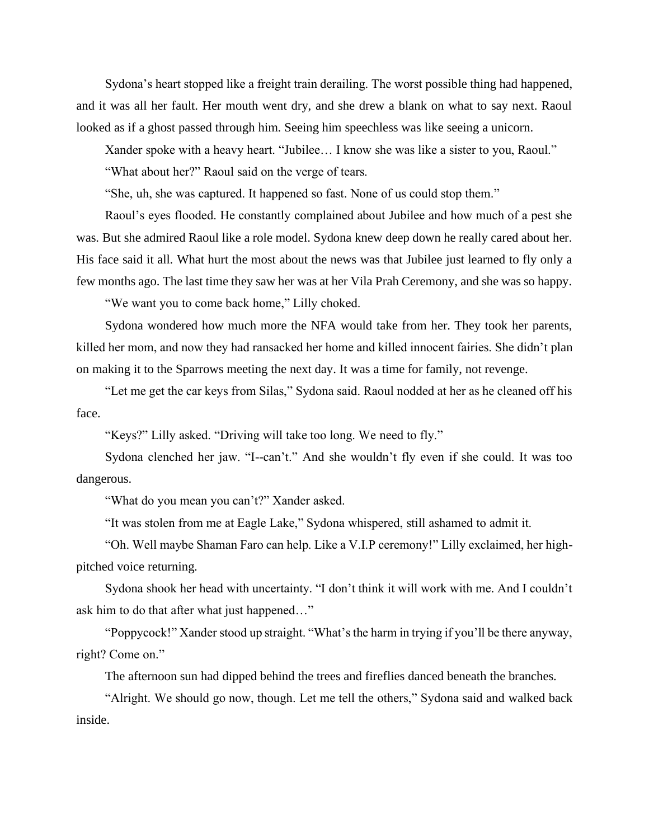Sydona's heart stopped like a freight train derailing. The worst possible thing had happened, and it was all her fault. Her mouth went dry, and she drew a blank on what to say next. Raoul looked as if a ghost passed through him. Seeing him speechless was like seeing a unicorn.

Xander spoke with a heavy heart. "Jubilee… I know she was like a sister to you, Raoul."

"What about her?" Raoul said on the verge of tears.

"She, uh, she was captured. It happened so fast. None of us could stop them."

Raoul's eyes flooded. He constantly complained about Jubilee and how much of a pest she was. But she admired Raoul like a role model. Sydona knew deep down he really cared about her. His face said it all. What hurt the most about the news was that Jubilee just learned to fly only a few months ago. The last time they saw her was at her Vila Prah Ceremony, and she was so happy.

"We want you to come back home," Lilly choked.

Sydona wondered how much more the NFA would take from her. They took her parents, killed her mom, and now they had ransacked her home and killed innocent fairies. She didn't plan on making it to the Sparrows meeting the next day. It was a time for family, not revenge.

"Let me get the car keys from Silas," Sydona said. Raoul nodded at her as he cleaned off his face.

"Keys?" Lilly asked. "Driving will take too long. We need to fly."

Sydona clenched her jaw. "I--can't." And she wouldn't fly even if she could. It was too dangerous.

"What do you mean you can't?" Xander asked.

"It was stolen from me at Eagle Lake," Sydona whispered, still ashamed to admit it.

"Oh. Well maybe Shaman Faro can help. Like a V.I.P ceremony!" Lilly exclaimed, her highpitched voice returning.

Sydona shook her head with uncertainty. "I don't think it will work with me. And I couldn't ask him to do that after what just happened…"

"Poppycock!" Xander stood up straight. "What's the harm in trying if you'll be there anyway, right? Come on."

The afternoon sun had dipped behind the trees and fireflies danced beneath the branches.

"Alright. We should go now, though. Let me tell the others," Sydona said and walked back inside.